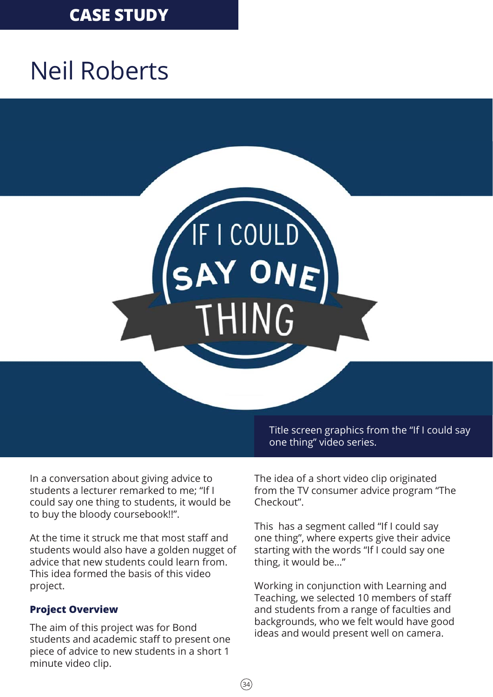## **CASE STUDY**

# Neil Roberts

# IF I COULD

In a conversation about giving advice to students a lecturer remarked to me; "If I could say one thing to students, it would be to buy the bloody coursebook!!".

At the time it struck me that most staff and students would also have a golden nugget of advice that new students could learn from. This idea formed the basis of this video project.

### **Project Overview**

The aim of this project was for Bond students and academic staff to present one piece of advice to new students in a short 1 minute video clip.

Title screen graphics from the "If I could say one thing" video series.

The idea of a short video clip originated from the TV consumer advice program "The Checkout".

This has a segment called "If I could say one thing", where experts give their advice starting with the words "If I could say one thing, it would be…"

Working in conjunction with Learning and Teaching, we selected 10 members of staff and students from a range of faculties and backgrounds, who we felt would have good ideas and would present well on camera.

 $(34)$